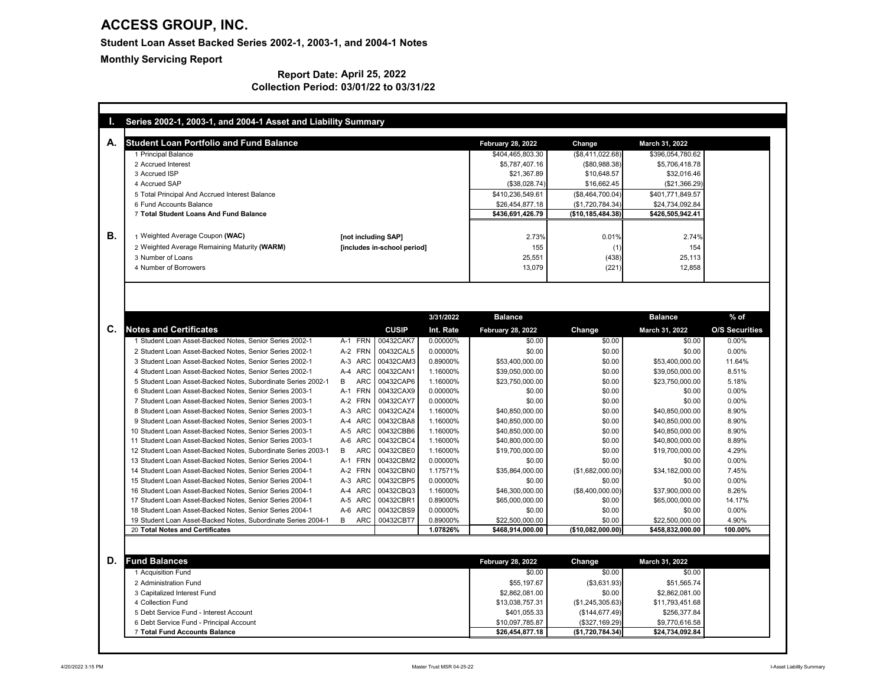| <b>Student Loan Portfolio and Fund Balance</b>                                                   |                             |              |                      | <b>February 28, 2022</b>            | Change                       | <b>March 31, 2022</b>               |                       |
|--------------------------------------------------------------------------------------------------|-----------------------------|--------------|----------------------|-------------------------------------|------------------------------|-------------------------------------|-----------------------|
| 1 Principal Balance                                                                              |                             |              |                      | \$404,465,803.30                    | (\$8,411,022.68)             | \$396,054,780.62                    |                       |
| 2 Accrued Interest                                                                               |                             |              |                      | \$5,787,407.16                      | (\$80,988.38)                | \$5,706,418.78                      |                       |
| 3 Accrued ISP                                                                                    |                             |              |                      | \$21,367.89                         | \$10,648.57                  | \$32,016.46                         |                       |
| 4 Accrued SAP                                                                                    |                             |              |                      | (\$38,028.74)                       | \$16,662.45                  | (\$21,366.29)                       |                       |
| 5 Total Principal And Accrued Interest Balance                                                   |                             |              |                      | \$410,236,549.61                    | (\$8,464,700.04)             | \$401,771,849.57                    |                       |
| 6 Fund Accounts Balance                                                                          |                             |              |                      | \$26,454,877.18                     | (\$1,720,784.34)             | \$24,734,092.84                     |                       |
| 7 Total Student Loans And Fund Balance                                                           |                             |              |                      | \$436,691,426.79                    | (\$10,185,484.38)            | \$426,505,942.41                    |                       |
| 1 Weighted Average Coupon (WAC)                                                                  | [not including SAP]         |              |                      | 2.73%                               | 0.01%                        | 2.74%                               |                       |
| 2 Weighted Average Remaining Maturity (WARM)                                                     | [includes in-school period] |              |                      | 155                                 |                              | 154                                 |                       |
| 3 Number of Loans                                                                                |                             |              |                      | 25,551                              | (438)                        | 25,113                              |                       |
| 4 Number of Borrowers                                                                            |                             |              |                      | 13,079                              | (221)                        | 12,858                              |                       |
| <b>Notes and Certificates</b>                                                                    |                             | <b>CUSIP</b> | Int. Rate            | <b>February 28, 2022</b>            | <b>Change</b>                | <b>March 31, 2022</b>               | <b>O/S Securities</b> |
|                                                                                                  |                             |              | 3/31/2022            | <b>Balance</b>                      |                              | <b>Balance</b>                      | $%$ of                |
| 1 Student Loan Asset-Backed Notes, Senior Series 2002-1                                          | A-1 FRN                     | 00432CAK7    | 0.00000%             | \$0.00                              | \$0.00                       | \$0.00                              | 0.00%                 |
| 2 Student Loan Asset-Backed Notes, Senior Series 2002-1                                          | A-2 FRN                     | 00432CAL5    | 0.00000%             | \$0.00                              | \$0.00                       | \$0.00                              | $0.00\%$              |
| 3 Student Loan Asset-Backed Notes, Senior Series 2002-1                                          | A-3 ARC                     | 00432CAM3    | 0.89000%             | \$53,400,000.00                     | \$0.00                       | \$53,400,000.00                     | 11.64%                |
| 4 Student Loan Asset-Backed Notes, Senior Series 2002-1                                          | A-4 ARC                     | 00432CAN1    | 1.16000%             | \$39,050,000.00                     | \$0.00                       | \$39,050,000.00                     | 8.51%                 |
| 5 Student Loan Asset-Backed Notes, Subordinate Series 2002-1                                     | B<br>ARC                    | 00432CAP6    | 1.16000%             | \$23,750,000.00                     | \$0.00                       | \$23,750,000.00                     | 5.18%                 |
| 6 Student Loan Asset-Backed Notes, Senior Series 2003-1                                          | A-1 FRN 00432CAX9           |              | 0.00000%             | \$0.00                              | \$0.00                       | \$0.00                              | 0.00%                 |
| 7 Student Loan Asset-Backed Notes, Senior Series 2003-1                                          | A-2 FRN                     | 00432CAY7    | 0.00000%             | \$0.00                              | \$0.00                       | \$0.00                              | 0.00%                 |
| 8 Student Loan Asset-Backed Notes, Senior Series 2003-1                                          | A-3 ARC                     | 00432CAZ4    | 1.16000%             | \$40,850,000.00                     | \$0.00                       | \$40,850,000.00                     | 8.90%                 |
| 9 Student Loan Asset-Backed Notes, Senior Series 2003-1                                          | A-4 ARC                     | 00432CBA8    | 1.16000%             | \$40,850,000.00                     | \$0.00                       | \$40,850,000.00                     | 8.90%                 |
| 10 Student Loan Asset-Backed Notes, Senior Series 2003-1                                         | A-5 ARC                     | 00432CBB6    | 1.16000%             | \$40,850,000.00                     | \$0.00                       | \$40,850,000.00                     | 8.90%                 |
| 11 Student Loan Asset-Backed Notes, Senior Series 2003-1                                         | A-6 ARC                     | 00432CBC4    | 1.16000%             | \$40,800,000.00                     | \$0.00                       | \$40,800,000.00                     | 8.89%                 |
| 12 Student Loan Asset-Backed Notes, Subordinate Series 2003-1                                    | ARC<br>B                    | 00432CBE0    | 1.16000%             | \$19,700,000.00                     | \$0.00                       | \$19,700,000.00                     | 4.29%                 |
| 13 Student Loan Asset-Backed Notes, Senior Series 2004-1                                         | A-1 FRN                     | 00432CBM2    | 0.00000%             | \$0.00                              | \$0.00                       | \$0.00                              | 0.00%                 |
|                                                                                                  | A-2 FRN                     | 00432CBN0    | 1.17571%             | \$35,864,000.00                     | (\$1,682,000.00)             | \$34,182,000.00                     | 7.45%                 |
| 14 Student Loan Asset-Backed Notes, Senior Series 2004-1                                         |                             | 00432CBP5    | 0.00000%             | \$0.00                              | \$0.00                       | \$0.00                              | 0.00%                 |
| 15 Student Loan Asset-Backed Notes, Senior Series 2004-1                                         | A-3 ARC                     |              |                      |                                     | (\$8,400,000.00)             | \$37,900,000.00                     | 8.26%                 |
| 16 Student Loan Asset-Backed Notes, Senior Series 2004-1                                         | A-4 ARC                     | 00432CBQ3    | 1.16000%             | \$46,300,000.00                     |                              |                                     |                       |
| 17 Student Loan Asset-Backed Notes, Senior Series 2004-1                                         | A-5 ARC                     | 00432CBR1    | 0.89000%             | \$65,000,000.00                     | \$0.00                       | \$65,000,000.00                     | 14.17%                |
| 18 Student Loan Asset-Backed Notes, Senior Series 2004-1                                         | A-6 ARC                     | 00432CBS9    | 0.00000%             | \$0.00                              | \$0.00                       | \$0.00                              | 0.00%                 |
| 19 Student Loan Asset-Backed Notes, Subordinate Series 2004-1<br>20 Total Notes and Certificates | B<br>ARC                    | 00432CBT7    | 0.89000%<br>1.07826% | \$22,500,000.00<br>\$468,914,000.00 | \$0.00<br>$(*10,082,000.00)$ | \$22,500,000.00<br>\$458,832,000.00 | 4.90%<br>100.00%      |

#### **Report Date: April 25, 2022 Collection Period: 03/01/22 to 03/31/22**

| D.<br><b>Fund Balances</b>              | <b>February 28, 2022</b> | Change           | <b>March 31, 2022</b> |
|-----------------------------------------|--------------------------|------------------|-----------------------|
| l Acquisition Fund                      | \$0.00                   | \$0.00           | \$0.00                |
| 2 Administration Fund                   | \$55,197.67              | $(\$3,631.93)$   | \$51,565.74           |
| 3 Capitalized Interest Fund             | \$2,862,081.00           | \$0.00           | \$2,862,081.00        |
| 4 Collection Fund                       | \$13,038,757.31          | (\$1,245,305.63) | \$11,793,451.68       |
| 5 Debt Service Fund - Interest Account  | \$401,055.33             | (\$144, 677.49)  | \$256,377.84          |
| 6 Debt Service Fund - Principal Account | \$10,097,785.87          | (\$327,169.29)   | \$9,770,616.58        |
| Total Fund Accounts Balance             | \$26,454,877.18          | (\$1,720,784.34) | \$24,734,092.84       |

## **ACCESS GROUP, INC.**

**Student Loan Asset Backed Series 2002-1, 2003-1, and 2004-1 Notes**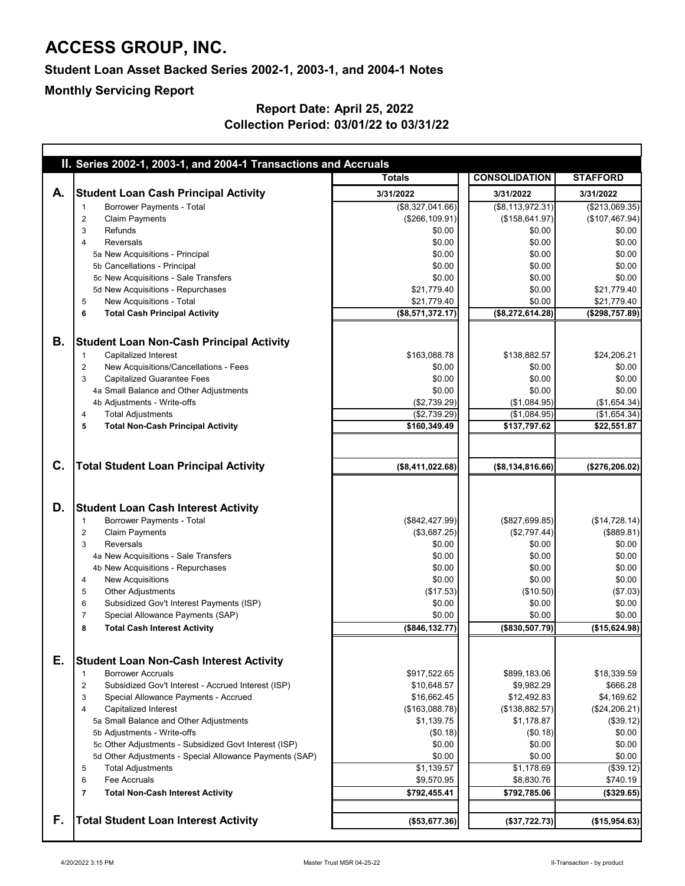|    | II. Series 2002-1, 2003-1, and 2004-1 Transactions and Accruals                        |                              |                              |                             |
|----|----------------------------------------------------------------------------------------|------------------------------|------------------------------|-----------------------------|
|    |                                                                                        | <b>Totals</b>                | <b>CONSOLIDATION</b>         | <b>STAFFORD</b>             |
| A. | <b>Student Loan Cash Principal Activity</b>                                            | 3/31/2022                    | 3/31/2022                    | 3/31/2022                   |
|    | <b>Borrower Payments - Total</b>                                                       | (\$8,327,041.66)             | (\$8,113,972.31)             | (\$213,069.35)              |
|    | <b>Claim Payments</b><br>$\overline{2}$                                                | (\$266, 109.91)              | (\$158,641.97)               | (\$107,467.94)              |
|    | Refunds<br>3                                                                           | \$0.00                       | \$0.00                       | \$0.00                      |
|    | <b>Reversals</b><br>4                                                                  | \$0.00                       | \$0.00                       | \$0.00                      |
|    | 5a New Acquisitions - Principal                                                        | \$0.00                       | \$0.00                       | \$0.00                      |
|    | 5b Cancellations - Principal                                                           | \$0.00                       | \$0.00                       | \$0.00                      |
|    | 5c New Acquisitions - Sale Transfers                                                   | \$0.00<br>\$21,779.40        | \$0.00<br>\$0.00             | \$0.00                      |
|    | 5d New Acquisitions - Repurchases<br>New Acquisitions - Total<br>$\overline{5}$        | \$21,779.40                  | \$0.00                       | \$21,779.40<br>\$21,779.40  |
|    | <b>Total Cash Principal Activity</b><br>6                                              | (\$8,571,372.17)             | (\$8,272,614.28)             | (\$298,757.89)              |
|    |                                                                                        |                              |                              |                             |
|    |                                                                                        |                              |                              |                             |
| В. | <b>Student Loan Non-Cash Principal Activity</b>                                        |                              |                              |                             |
|    | <b>Capitalized Interest</b>                                                            | \$163,088.78                 | \$138,882.57                 | \$24,206.21                 |
|    | New Acquisitions/Cancellations - Fees<br>$\overline{2}$                                | \$0.00                       | \$0.00                       | \$0.00                      |
|    | <b>Capitalized Guarantee Fees</b><br>3                                                 | \$0.00                       | \$0.00                       | \$0.00                      |
|    | 4a Small Balance and Other Adjustments                                                 | \$0.00                       | \$0.00                       | \$0.00                      |
|    | 4b Adjustments - Write-offs                                                            | (\$2,739.29)                 | (\$1,084.95)                 | (\$1,654.34)                |
|    | <b>Total Adjustments</b><br>4                                                          | (\$2,739.29)<br>\$160,349.49 | (\$1,084.95)<br>\$137,797.62 | (\$1,654.34)<br>\$22,551.87 |
|    | <b>Total Non-Cash Principal Activity</b><br>5                                          |                              |                              |                             |
|    |                                                                                        |                              |                              |                             |
|    |                                                                                        |                              |                              |                             |
| C. | <b>Total Student Loan Principal Activity</b>                                           | (\$8,411,022.68)             | ( \$8,134,816.66)            | (\$276,206.02)              |
|    |                                                                                        |                              |                              |                             |
|    |                                                                                        |                              |                              |                             |
| D. | <b>Student Loan Cash Interest Activity</b>                                             |                              |                              |                             |
|    | <b>Borrower Payments - Total</b>                                                       | (\$842, 427.99)              | (\$827,699.85)               | (\$14,728.14)               |
|    | <b>Claim Payments</b><br>2                                                             | (\$3,687.25)                 | (\$2,797.44)                 | (\$889.81)                  |
|    | <b>Reversals</b><br>3                                                                  | \$0.00                       | \$0.00                       | \$0.00                      |
|    | 4a New Acquisitions - Sale Transfers                                                   | \$0.00                       | \$0.00                       | \$0.00                      |
|    | 4b New Acquisitions - Repurchases                                                      | \$0.00                       | \$0.00                       | \$0.00                      |
|    | <b>New Acquisitions</b><br>4                                                           | \$0.00                       | \$0.00                       | \$0.00                      |
|    | <b>Other Adjustments</b><br>5                                                          | (\$17.53)                    | (\$10.50)<br>\$0.00          | (\$7.03)                    |
|    | Subsidized Gov't Interest Payments (ISP)<br>6<br>Special Allowance Payments (SAP)<br>7 | \$0.00<br>\$0.00             | \$0.00                       | \$0.00<br>\$0.00            |
|    | 8                                                                                      | (\$846, 132.77)              | (\$830,507.79)               | (\$15,624.98)               |
|    | <b>Total Cash Interest Activity</b>                                                    |                              |                              |                             |
|    |                                                                                        |                              |                              |                             |
| Е. | <b>Student Loan Non-Cash Interest Activity</b>                                         |                              |                              |                             |
|    | <b>Borrower Accruals</b><br>-1                                                         | \$917,522.65                 | \$899,183.06                 | \$18,339.59                 |
|    | Subsidized Gov't Interest - Accrued Interest (ISP)<br>$\overline{c}$                   | \$10,648.57                  | \$9,982.29                   | \$666.28                    |
|    | Special Allowance Payments - Accrued<br>3                                              | \$16,662.45                  | \$12,492.83                  | \$4,169.62                  |
|    | <b>Capitalized Interest</b><br>4                                                       | (\$163,088.78)               | (\$138,882.57)               | (\$24,206.21)               |
|    | 5a Small Balance and Other Adjustments                                                 | \$1,139.75                   | \$1,178.87                   | (\$39.12)                   |
|    | 5b Adjustments - Write-offs                                                            | (\$0.18)                     | (\$0.18)                     | \$0.00                      |
|    | 5c Other Adjustments - Subsidized Govt Interest (ISP)                                  | \$0.00                       | \$0.00                       | \$0.00                      |
|    | 5d Other Adjustments - Special Allowance Payments (SAP)                                | \$0.00                       | \$0.00                       | \$0.00                      |
|    | <b>Total Adjustments</b><br>5                                                          | \$1,139.57                   | \$1,178.69                   | (\$39.12)                   |
|    | Fee Accruals<br>6                                                                      | \$9,570.95                   | \$8,830.76                   | \$740.19                    |
|    | <b>Total Non-Cash Interest Activity</b><br>7                                           | \$792,455.41                 | \$792,785.06                 | (\$329.65)                  |
|    |                                                                                        |                              |                              |                             |
| F. | <b>Total Student Loan Interest Activity</b>                                            | (\$53,677.36)                | (\$37,722.73)                | (\$15,954.63)               |
|    |                                                                                        |                              |                              |                             |

## **ACCESS GROUP, INC.**

#### **Student Loan Asset Backed Series 2002-1, 2003-1, and 2004-1 Notes**

#### **Report Date: April 25, 2022 Collection Period: 03/01/22 to 03/31/22**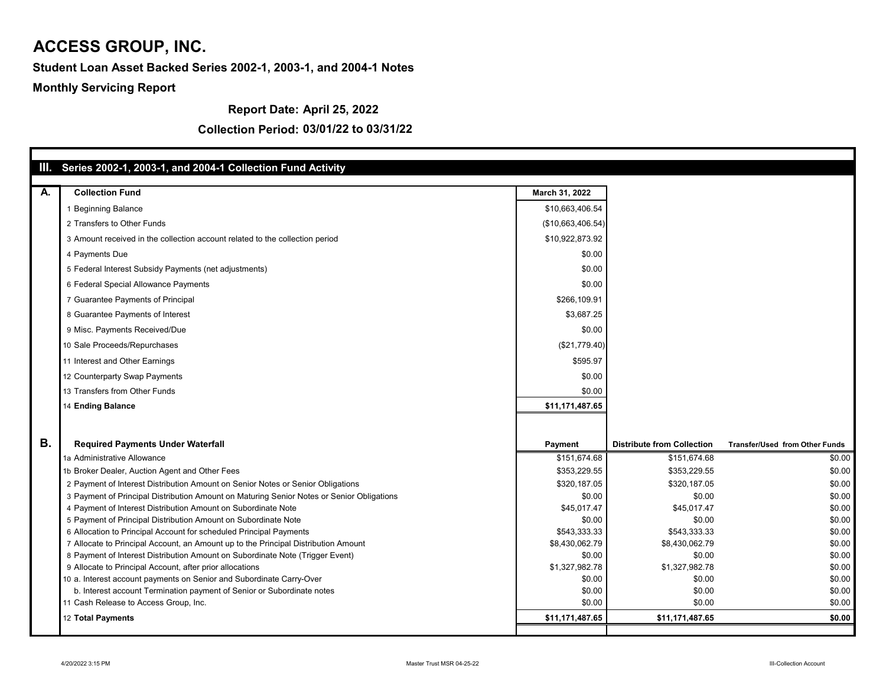#### **Report Date: April 25, 2022**

|    | III. Series 2002-1, 2003-1, and 2004-1 Collection Fund Activity                           |                   |                                   |                                       |
|----|-------------------------------------------------------------------------------------------|-------------------|-----------------------------------|---------------------------------------|
|    |                                                                                           |                   |                                   |                                       |
| A. | <b>Collection Fund</b>                                                                    | March 31, 2022    |                                   |                                       |
|    | <b>Beginning Balance</b>                                                                  | \$10,663,406.54   |                                   |                                       |
|    | 2 Transfers to Other Funds                                                                | (\$10,663,406.54) |                                   |                                       |
|    | 3 Amount received in the collection account related to the collection period              | \$10,922,873.92   |                                   |                                       |
|    | 4 Payments Due                                                                            | \$0.00            |                                   |                                       |
|    | 5 Federal Interest Subsidy Payments (net adjustments)                                     | \$0.00            |                                   |                                       |
|    | 6 Federal Special Allowance Payments                                                      | \$0.00            |                                   |                                       |
|    | 7 Guarantee Payments of Principal                                                         | \$266,109.91      |                                   |                                       |
|    | 8 Guarantee Payments of Interest                                                          | \$3,687.25        |                                   |                                       |
|    | 9 Misc. Payments Received/Due                                                             | \$0.00            |                                   |                                       |
|    | 10 Sale Proceeds/Repurchases                                                              | (\$21,779.40)     |                                   |                                       |
|    | 11 Interest and Other Earnings                                                            | \$595.97          |                                   |                                       |
|    | 12 Counterparty Swap Payments                                                             | \$0.00            |                                   |                                       |
|    | 13 Transfers from Other Funds                                                             | \$0.00            |                                   |                                       |
|    | 14 Ending Balance                                                                         | \$11,171,487.65   |                                   |                                       |
|    |                                                                                           |                   |                                   |                                       |
|    |                                                                                           |                   |                                   |                                       |
| В. | <b>Required Payments Under Waterfall</b>                                                  | <b>Payment</b>    | <b>Distribute from Collection</b> | <b>Transfer/Used from Other Funds</b> |
|    | 1a Administrative Allowance                                                               | \$151,674.68      | \$151,674.68                      | \$0.00                                |
|    | 1b Broker Dealer, Auction Agent and Other Fees                                            | \$353,229.55      | \$353,229.55                      | \$0.00                                |
|    | 2 Payment of Interest Distribution Amount on Senior Notes or Senior Obligations           | \$320,187.05      | \$320,187.05                      | \$0.00                                |
|    | 3 Payment of Principal Distribution Amount on Maturing Senior Notes or Senior Obligations | \$0.00            | \$0.00                            | \$0.00                                |
|    | 4 Payment of Interest Distribution Amount on Subordinate Note                             | \$45,017.47       | \$45,017.47                       | \$0.00                                |
|    | 5 Payment of Principal Distribution Amount on Subordinate Note                            | \$0.00            | \$0.00                            | \$0.00                                |
|    | 6 Allocation to Principal Account for scheduled Principal Payments                        | \$543,333.33      | \$543,333.33                      | \$0.00                                |
|    | 7 Allocate to Principal Account, an Amount up to the Principal Distribution Amount        | \$8,430,062.79    | \$8,430,062.79                    | \$0.00                                |
|    | 8 Payment of Interest Distribution Amount on Subordinate Note (Trigger Event)             | \$0.00            | \$0.00                            | \$0.00                                |
|    | 9 Allocate to Principal Account, after prior allocations                                  | \$1,327,982.78    | \$1,327,982.78                    | \$0.00                                |
|    | 10 a. Interest account payments on Senior and Subordinate Carry-Over                      | \$0.00            | \$0.00                            | \$0.00                                |
|    | b. Interest account Termination payment of Senior or Subordinate notes                    | \$0.00            | \$0.00                            | \$0.00                                |
|    | 11 Cash Release to Access Group, Inc.                                                     | \$0.00            | \$0.00                            | \$0.00                                |
|    | 12 Total Payments                                                                         | \$11,171,487.65   | \$11,171,487.65                   | \$0.00                                |
|    |                                                                                           |                   |                                   |                                       |

#### **Collection Period: 03/01/22 to 03/31/22**

## **ACCESS GROUP, INC.**

#### **Student Loan Asset Backed Series 2002-1, 2003-1, and 2004-1 Notes**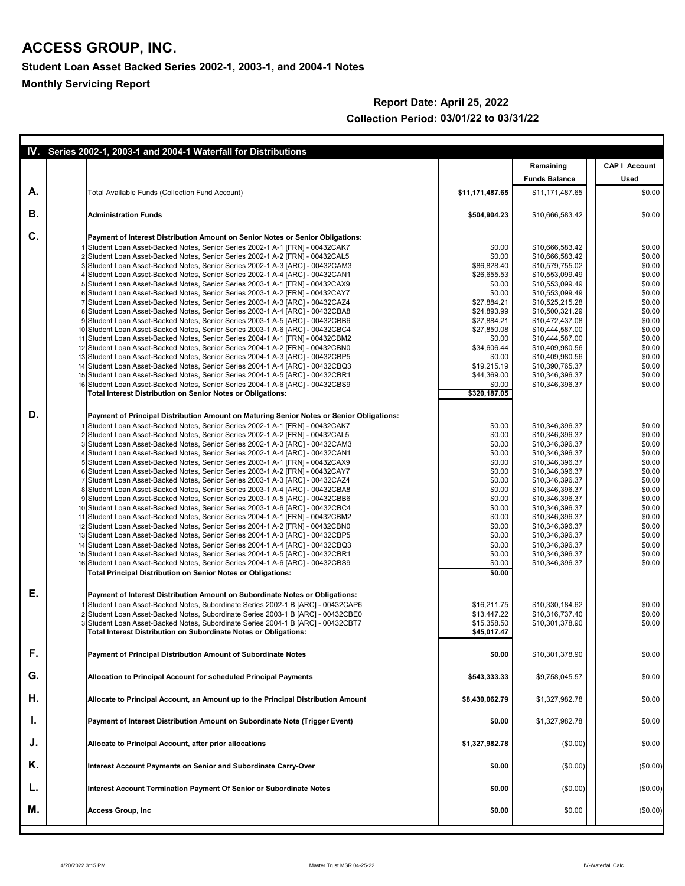|    | IV. Series 2002-1, 2003-1 and 2004-1 Waterfall for Distributions                                                                                                     |                            |                                    |                      |
|----|----------------------------------------------------------------------------------------------------------------------------------------------------------------------|----------------------------|------------------------------------|----------------------|
|    |                                                                                                                                                                      |                            | Remaining                          | <b>CAP I Account</b> |
|    |                                                                                                                                                                      |                            | <b>Funds Balance</b>               | <b>Used</b>          |
| A. | <b>Total Available Funds (Collection Fund Account)</b>                                                                                                               | \$11,171,487.65            | \$11,171,487.65                    | \$0.00               |
| В. | <b>Administration Funds</b>                                                                                                                                          | \$504,904.23               | \$10,666,583.42                    | \$0.00               |
| C. | <b>Payment of Interest Distribution Amount on Senior Notes or Senior Obligations:</b>                                                                                |                            |                                    |                      |
|    | 1 Student Loan Asset-Backed Notes, Senior Series 2002-1 A-1 [FRN] - 00432CAK7                                                                                        | \$0.00                     | \$10,666,583.42                    | \$0.00               |
|    | 2 Student Loan Asset-Backed Notes, Senior Series 2002-1 A-2 [FRN] - 00432CAL5<br>3 Student Loan Asset-Backed Notes, Senior Series 2002-1 A-3 [ARC] - 00432CAM3       | \$0.00<br>\$86,828.40      | \$10,666,583.42<br>\$10,579,755.02 | \$0.00<br>\$0.00     |
|    | 4 Student Loan Asset-Backed Notes, Senior Series 2002-1 A-4 [ARC] - 00432CAN1                                                                                        | \$26,655.53                | \$10,553,099.49                    | \$0.00               |
|    | 5 Student Loan Asset-Backed Notes, Senior Series 2003-1 A-1 [FRN] - 00432CAX9                                                                                        | \$0.00                     | \$10,553,099.49                    | \$0.00               |
|    | 6 Student Loan Asset-Backed Notes, Senior Series 2003-1 A-2 [FRN] - 00432CAY7                                                                                        | \$0.00                     | \$10,553,099.49                    | \$0.00               |
|    | 7 Student Loan Asset-Backed Notes, Senior Series 2003-1 A-3 [ARC] - 00432CAZ4<br>8 Student Loan Asset-Backed Notes, Senior Series 2003-1 A-4 [ARC] - 00432CBA8       | \$27,884.21                | \$10,525,215.28                    | \$0.00               |
|    | 9 Student Loan Asset-Backed Notes, Senior Series 2003-1 A-5 [ARC] - 00432CBB6                                                                                        | \$24,893.99<br>\$27,884.21 | \$10,500,321.29<br>\$10,472,437.08 | \$0.00<br>\$0.00     |
|    | 10 Student Loan Asset-Backed Notes, Senior Series 2003-1 A-6 [ARC] - 00432CBC4                                                                                       | \$27,850.08                | \$10,444,587.00                    | \$0.00               |
|    | 11 Student Loan Asset-Backed Notes, Senior Series 2004-1 A-1 [FRN] - 00432CBM2                                                                                       | \$0.00                     | \$10,444,587.00                    | \$0.00               |
|    | 12 Student Loan Asset-Backed Notes, Senior Series 2004-1 A-2 [FRN] - 00432CBN0                                                                                       | \$34,606.44                | \$10,409,980.56                    | \$0.00               |
|    | 13 Student Loan Asset-Backed Notes, Senior Series 2004-1 A-3 [ARC] - 00432CBP5<br>14 Student Loan Asset-Backed Notes, Senior Series 2004-1 A-4 [ARC] - 00432CBQ3     | \$0.00<br>\$19,215.19      | \$10,409,980.56                    | \$0.00<br>\$0.00     |
|    | 15 Student Loan Asset-Backed Notes, Senior Series 2004-1 A-5 [ARC] - 00432CBR1                                                                                       | \$44,369.00                | \$10,390,765.37<br>\$10,346,396.37 | \$0.00               |
|    | 16 Student Loan Asset-Backed Notes, Senior Series 2004-1 A-6 [ARC] - 00432CBS9                                                                                       | \$0.00                     | \$10,346,396.37                    | \$0.00               |
|    | <b>Total Interest Distribution on Senior Notes or Obligations:</b>                                                                                                   | \$320,187.05               |                                    |                      |
| D. | Payment of Principal Distribution Amount on Maturing Senior Notes or Senior Obligations:                                                                             |                            |                                    |                      |
|    | 1 Student Loan Asset-Backed Notes, Senior Series 2002-1 A-1 [FRN] - 00432CAK7                                                                                        | \$0.00                     | \$10,346,396.37                    | \$0.00               |
|    | 2 Student Loan Asset-Backed Notes, Senior Series 2002-1 A-2 [FRN] - 00432CAL5                                                                                        | \$0.00                     | \$10,346,396.37                    | \$0.00               |
|    | 3 Student Loan Asset-Backed Notes, Senior Series 2002-1 A-3 [ARC] - 00432CAM3                                                                                        | \$0.00                     | \$10,346,396.37                    | \$0.00               |
|    | 4 Student Loan Asset-Backed Notes, Senior Series 2002-1 A-4 [ARC] - 00432CAN1<br>5 Student Loan Asset-Backed Notes, Senior Series 2003-1 A-1 [FRN] - 00432CAX9       | \$0.00<br>\$0.00           | \$10,346,396.37<br>\$10,346,396.37 | \$0.00<br>\$0.00     |
|    | 6 Student Loan Asset-Backed Notes, Senior Series 2003-1 A-2 [FRN] - 00432CAY7                                                                                        | \$0.00                     | \$10,346,396.37                    | \$0.00               |
|    | 7 Student Loan Asset-Backed Notes, Senior Series 2003-1 A-3 [ARC] - 00432CAZ4                                                                                        | \$0.00                     | \$10,346,396.37                    | \$0.00               |
|    | 8 Student Loan Asset-Backed Notes, Senior Series 2003-1 A-4 [ARC] - 00432CBA8                                                                                        | \$0.00                     | \$10,346,396.37                    | \$0.00               |
|    | 9 Student Loan Asset-Backed Notes, Senior Series 2003-1 A-5 [ARC] - 00432CBB6<br>10 Student Loan Asset-Backed Notes, Senior Series 2003-1 A-6 [ARC] - 00432CBC4      | \$0.00<br>\$0.00           | \$10,346,396.37<br>\$10,346,396.37 | \$0.00<br>\$0.00     |
|    | 11 Student Loan Asset-Backed Notes, Senior Series 2004-1 A-1 [FRN] - 00432CBM2                                                                                       | \$0.00                     | \$10,346,396.37                    | \$0.00               |
|    | 12 Student Loan Asset-Backed Notes, Senior Series 2004-1 A-2 [FRN] - 00432CBN0                                                                                       | \$0.00                     | \$10,346,396.37                    | \$0.00               |
|    | 13 Student Loan Asset-Backed Notes, Senior Series 2004-1 A-3 [ARC] - 00432CBP5                                                                                       | \$0.00                     | \$10,346,396.37                    | \$0.00               |
|    | 14 Student Loan Asset-Backed Notes, Senior Series 2004-1 A-4 [ARC] - 00432CBQ3                                                                                       | \$0.00                     | \$10,346,396.37                    | \$0.00               |
|    | 15 Student Loan Asset-Backed Notes, Senior Series 2004-1 A-5 [ARC] - 00432CBR1                                                                                       | \$0.00                     | \$10,346,396.37                    | \$0.00               |
|    | 16 Student Loan Asset-Backed Notes, Senior Series 2004-1 A-6 [ARC] - 00432CBS9<br><b>Total Principal Distribution on Senior Notes or Obligations:</b>                | \$0.00<br>\$0.00           | \$10,346,396.37                    | \$0.00               |
| Ε. |                                                                                                                                                                      |                            |                                    |                      |
|    | Payment of Interest Distribution Amount on Subordinate Notes or Obligations:                                                                                         |                            |                                    |                      |
|    | 1 Student Loan Asset-Backed Notes, Subordinate Series 2002-1 B [ARC] - 00432CAP6<br>2 Student Loan Asset-Backed Notes, Subordinate Series 2003-1 B [ARC] - 00432CBE0 | \$16,211.75<br>\$13,447.22 | \$10,330,184.62<br>\$10,316,737.40 | \$0.00<br>\$0.00     |
|    | 3 Student Loan Asset-Backed Notes, Subordinate Series 2004-1 B [ARC] - 00432CBT7                                                                                     | \$15,358.50                | \$10,301,378.90                    | \$0.00               |
|    | <b>Total Interest Distribution on Subordinate Notes or Obligations:</b>                                                                                              | \$45,017.47                |                                    |                      |
| F. | <b>Payment of Principal Distribution Amount of Subordinate Notes</b>                                                                                                 | \$0.00                     | \$10,301,378.90                    | \$0.00               |
| G. | <b>Allocation to Principal Account for scheduled Principal Payments</b>                                                                                              | \$543,333.33               | \$9,758,045.57                     | \$0.00               |
| Η. |                                                                                                                                                                      |                            |                                    |                      |
|    | Allocate to Principal Account, an Amount up to the Principal Distribution Amount                                                                                     | \$8,430,062.79             | \$1,327,982.78                     | \$0.00               |
| ι. | <b>Payment of Interest Distribution Amount on Subordinate Note (Trigger Event)</b>                                                                                   | \$0.00                     | \$1,327,982.78                     | \$0.00               |
| J. | <b>Allocate to Principal Account, after prior allocations</b>                                                                                                        | \$1,327,982.78             | (\$0.00)                           | \$0.00               |
| Κ. | Interest Account Payments on Senior and Subordinate Carry-Over                                                                                                       | \$0.00                     | (\$0.00)                           | (\$0.00)             |
| ъ. | Interest Account Termination Payment Of Senior or Subordinate Notes                                                                                                  | \$0.00                     | (\$0.00)                           | (\$0.00)             |
| М. | <b>Access Group, Inc.</b>                                                                                                                                            | \$0.00                     | \$0.00                             | (\$0.00)             |
|    |                                                                                                                                                                      |                            |                                    |                      |

#### **Report Date: April 25, 2022 Collection Period: 03/01/22 to 03/31/22**

## **ACCESS GROUP, INC.**

**Student Loan Asset Backed Series 2002-1, 2003-1, and 2004-1 Notes**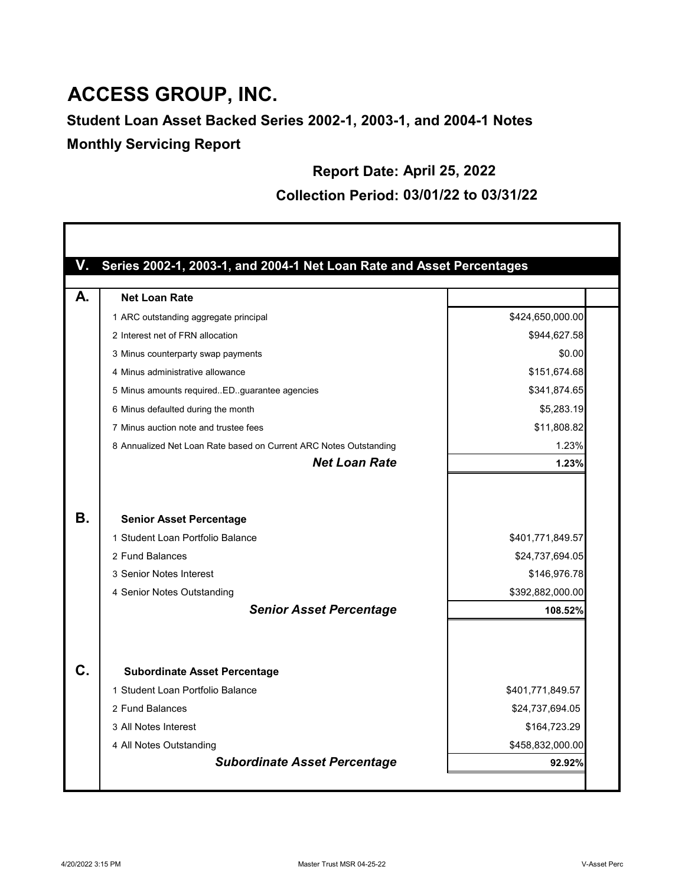## **ACCESS GROUP, INC.**

### **Student Loan Asset Backed Series 2002-1, 2003-1, and 2004-1 Notes Monthly Servicing Report**

#### **Report Date: April 25, 2022**

#### **Collection Period: 03/01/22 to 03/31/22**

|    | Series 2002-1, 2003-1, and 2004-1 Net Loan Rate and Asset Percentages          |                                                     |
|----|--------------------------------------------------------------------------------|-----------------------------------------------------|
|    | <b>Net Loan Rate</b>                                                           |                                                     |
|    | 1 ARC outstanding aggregate principal                                          | \$424,650,000.00                                    |
|    | 2 Interest net of FRN allocation                                               | \$944,627.58                                        |
|    | 3 Minus counterparty swap payments                                             | \$0.00                                              |
|    | 4 Minus administrative allowance                                               | \$151,674.68                                        |
|    | 5 Minus amounts requiredEDguarantee agencies                                   | \$341,874.65                                        |
|    | 6 Minus defaulted during the month                                             | \$5,283.19                                          |
|    | 7 Minus auction note and trustee fees                                          | \$11,808.82                                         |
|    | 8 Annualized Net Loan Rate based on Current ARC Notes Outstanding              | 1.23%                                               |
|    | <b>Net Loan Rate</b>                                                           | 1.23%                                               |
|    | 1 Student Loan Portfolio Balance<br>2 Fund Balances<br>3 Senior Notes Interest | \$401,771,849.57<br>\$24,737,694.05<br>\$146,976.78 |
|    | 4 Senior Notes Outstanding<br><b>Senior Asset Percentage</b>                   | \$392,882,000.00<br>108.52%                         |
| C. | <b>Subordinate Asset Percentage</b>                                            |                                                     |
|    | 1 Student Loan Portfolio Balance                                               | \$401,771,849.57                                    |
|    | 2 Fund Balances                                                                | \$24,737,694.05                                     |
|    | 3 All Notes Interest                                                           | \$164,723.29                                        |
|    | 4 All Notes Outstanding                                                        | \$458,832,000.00                                    |
|    | <b>Subordinate Asset Percentage</b>                                            | 92.92%                                              |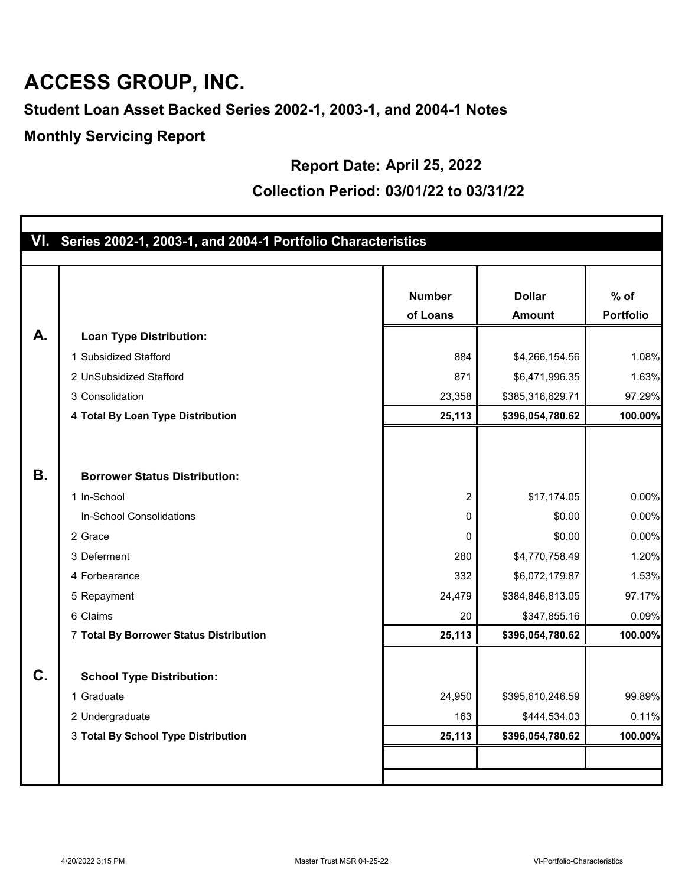## **ACCESS GROUP, INC.**

**Student Loan Asset Backed Series 2002-1, 2003-1, and 2004-1 Notes**

**Monthly Servicing Report**

#### **Report Date: April 25, 2022**

#### **Collection Period: 03/01/22 to 03/31/22**

|           | VI. Series 2002-1, 2003-1, and 2004-1 Portfolio Characteristics |                |                  |                  |
|-----------|-----------------------------------------------------------------|----------------|------------------|------------------|
|           |                                                                 |                |                  |                  |
|           |                                                                 | <b>Number</b>  | <b>Dollar</b>    | $%$ of           |
|           |                                                                 | of Loans       |                  | <b>Portfolio</b> |
|           |                                                                 |                | <b>Amount</b>    |                  |
| A.        | <b>Loan Type Distribution:</b>                                  |                |                  |                  |
|           | 1 Subsidized Stafford                                           | 884            | \$4,266,154.56   | 1.08%            |
|           | 2 UnSubsidized Stafford                                         | 871            | \$6,471,996.35   | 1.63%            |
|           | 3 Consolidation                                                 | 23,358         | \$385,316,629.71 | 97.29%           |
|           | 4 Total By Loan Type Distribution                               | 25,113         | \$396,054,780.62 | 100.00%          |
|           |                                                                 |                |                  |                  |
|           |                                                                 |                |                  |                  |
| <b>B.</b> | <b>Borrower Status Distribution:</b>                            |                |                  |                  |
|           | 1 In-School                                                     | $\overline{2}$ | \$17,174.05      | 0.00%            |
|           | In-School Consolidations                                        | 0              | \$0.00           | 0.00%            |
|           | 2 Grace                                                         | 0              | \$0.00           | 0.00%            |
|           | 3 Deferment                                                     | 280            | \$4,770,758.49   | 1.20%            |
|           | 4 Forbearance                                                   | 332            | \$6,072,179.87   | 1.53%            |
|           | 5 Repayment                                                     | 24,479         | \$384,846,813.05 | 97.17%           |
|           | 6 Claims                                                        | 20             | \$347,855.16     | 0.09%            |
|           | <b>7 Total By Borrower Status Distribution</b>                  | 25,113         | \$396,054,780.62 | 100.00%          |
|           |                                                                 |                |                  |                  |
| C.        | <b>School Type Distribution:</b>                                |                |                  |                  |
|           | 1 Graduate                                                      | 24,950         | \$395,610,246.59 | 99.89%           |
|           | 2 Undergraduate                                                 | 163            | \$444,534.03     | 0.11%            |
|           | 3 Total By School Type Distribution                             | 25,113         | \$396,054,780.62 | 100.00%          |
|           |                                                                 |                |                  |                  |
|           |                                                                 |                |                  |                  |
|           |                                                                 |                |                  |                  |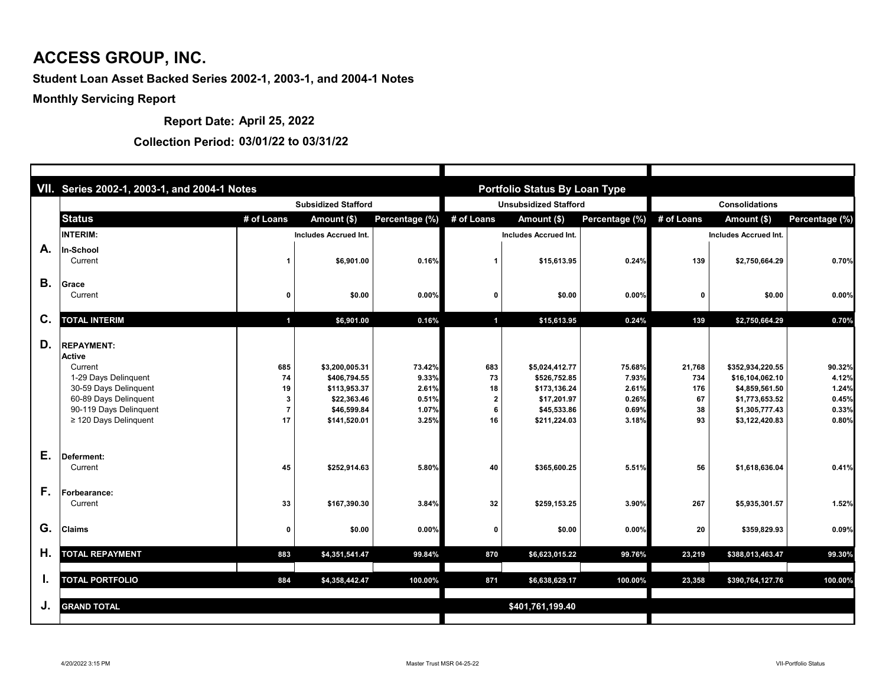|           | VII. Series 2002-1, 2003-1, and 2004-1 Notes                                                                                                                                    |                       |                                                                                              |                                                     |                                  | <b>Portfolio Status By Loan Type</b>                                                         |                                                     |                                        |                                                                                                             |                                                     |  |
|-----------|---------------------------------------------------------------------------------------------------------------------------------------------------------------------------------|-----------------------|----------------------------------------------------------------------------------------------|-----------------------------------------------------|----------------------------------|----------------------------------------------------------------------------------------------|-----------------------------------------------------|----------------------------------------|-------------------------------------------------------------------------------------------------------------|-----------------------------------------------------|--|
|           |                                                                                                                                                                                 |                       | <b>Subsidized Stafford</b>                                                                   |                                                     |                                  | <b>Unsubsidized Stafford</b>                                                                 |                                                     | <b>Consolidations</b>                  |                                                                                                             |                                                     |  |
|           | <b>Status</b>                                                                                                                                                                   | # of Loans            | Amount (\$)                                                                                  | Percentage (%)                                      | # of Loans                       | Amount (\$)                                                                                  | Percentage (%)                                      | # of Loans                             | Amount (\$)                                                                                                 | Percentage (%)                                      |  |
|           | <b>INTERIM:</b>                                                                                                                                                                 |                       | <b>Includes Accrued Int.</b>                                                                 |                                                     |                                  | <b>Includes Accrued Int.</b>                                                                 |                                                     |                                        | <b>Includes Accrued Int.</b>                                                                                |                                                     |  |
| A.        | In-School<br>Current                                                                                                                                                            |                       | \$6,901.00                                                                                   | 0.16%                                               |                                  | \$15,613.95                                                                                  | 0.24%                                               | 139                                    | \$2,750,664.29                                                                                              | 0.70%                                               |  |
| <b>B.</b> | <b>Grace</b><br>Current                                                                                                                                                         | 0                     | \$0.00                                                                                       | 0.00%                                               | 0                                | \$0.00                                                                                       | 0.00%                                               | 0                                      | \$0.00                                                                                                      | 0.00%                                               |  |
| C.        | <b>TOTAL INTERIM</b>                                                                                                                                                            |                       | \$6,901.00                                                                                   | 0.16%                                               | $\blacktriangleleft$             | \$15,613.95                                                                                  | 0.24%                                               | 139                                    | \$2,750,664.29                                                                                              | 0.70%                                               |  |
| D.        | <b>REPAYMENT:</b><br><b>Active</b><br>Current<br>1-29 Days Delinquent<br>30-59 Days Delinquent<br>60-89 Days Delinquent<br>90-119 Days Delinquent<br>$\geq$ 120 Days Delinquent | 685<br>74<br>19<br>17 | \$3,200,005.31<br>\$406,794.55<br>\$113,953.37<br>\$22,363.46<br>\$46,599.84<br>\$141,520.01 | 73.42%<br>9.33%<br>2.61%<br>0.51%<br>1.07%<br>3.25% | 683<br>73<br>18<br>-2<br>6<br>16 | \$5,024,412.77<br>\$526,752.85<br>\$173,136.24<br>\$17,201.97<br>\$45,533.86<br>\$211,224.03 | 75.68%<br>7.93%<br>2.61%<br>0.26%<br>0.69%<br>3.18% | 21,768<br>734<br>176<br>67<br>38<br>93 | \$352,934,220.55<br>\$16,104,062.10<br>\$4,859,561.50<br>\$1,773,653.52<br>\$1,305,777.43<br>\$3,122,420.83 | 90.32%<br>4.12%<br>1.24%<br>0.45%<br>0.33%<br>0.80% |  |
| Ε.        | Deferment:<br>Current                                                                                                                                                           | 45                    | \$252,914.63                                                                                 | 5.80%                                               | 40                               | \$365,600.25                                                                                 | 5.51%                                               | 56                                     | \$1,618,636.04                                                                                              | 0.41%                                               |  |
| F.        | Forbearance:<br>Current                                                                                                                                                         | 33                    | \$167,390.30                                                                                 | 3.84%                                               | 32                               | \$259,153.25                                                                                 | 3.90%                                               | 267                                    | \$5,935,301.57                                                                                              | 1.52%                                               |  |
| G.        | <b>Claims</b>                                                                                                                                                                   | 0                     | \$0.00                                                                                       | 0.00%                                               | 0                                | \$0.00                                                                                       | 0.00%                                               | 20                                     | \$359,829.93                                                                                                | 0.09%                                               |  |
| Η.        | <b>TOTAL REPAYMENT</b>                                                                                                                                                          | 883                   | \$4,351,541.47                                                                               | 99.84%                                              | 870                              | \$6,623,015.22                                                                               | 99.76%                                              | 23,219                                 | \$388,013,463.47                                                                                            | 99.30%                                              |  |
| ι.        | <b>TOTAL PORTFOLIO</b>                                                                                                                                                          | 884                   | \$4,358,442.47                                                                               | 100.00%                                             | 871                              | \$6,638,629.17                                                                               | 100.00%                                             | 23,358                                 | \$390,764,127.76                                                                                            | 100.00%                                             |  |
| J.        | <b>GRAND TOTAL</b>                                                                                                                                                              |                       |                                                                                              |                                                     |                                  | \$401,761,199.40                                                                             |                                                     |                                        |                                                                                                             |                                                     |  |

**Report Date: April 25, 2022**

#### **Collection Period: 03/01/22 to 03/31/22**

## **ACCESS GROUP, INC.**

#### **Student Loan Asset Backed Series 2002-1, 2003-1, and 2004-1 Notes**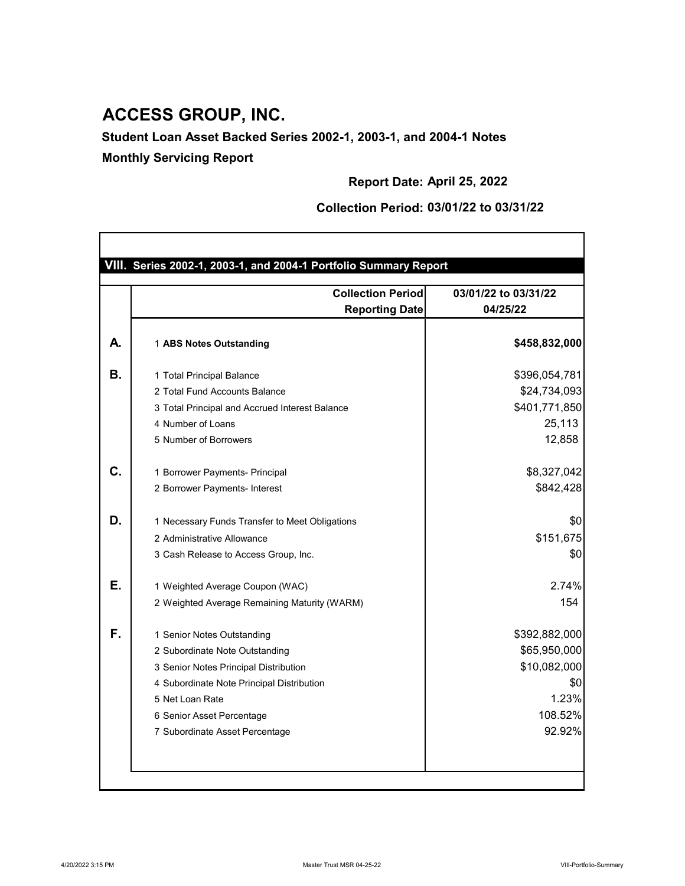|    | <b>Collection Period</b>                       | 03/01/22 to 03/31/22 |
|----|------------------------------------------------|----------------------|
|    | <b>Reporting Date</b>                          | 04/25/22             |
| А. | 1 ABS Notes Outstanding                        | \$458,832,000        |
| В. | 1 Total Principal Balance                      | \$396,054,781        |
|    | 2 Total Fund Accounts Balance                  | \$24,734,093         |
|    | 3 Total Principal and Accrued Interest Balance | \$401,771,850        |
|    | 4 Number of Loans                              | 25,113               |
|    | 5 Number of Borrowers                          | 12,858               |
| C. | 1 Borrower Payments- Principal                 | \$8,327,042          |
|    | 2 Borrower Payments- Interest                  | \$842,428            |
| D. | 1 Necessary Funds Transfer to Meet Obligations | \$0                  |
|    | 2 Administrative Allowance                     | \$151,675            |
|    | 3 Cash Release to Access Group, Inc.           | \$0                  |
| Е. | 1 Weighted Average Coupon (WAC)                | 2.74%                |
|    | 2 Weighted Average Remaining Maturity (WARM)   | 154                  |
| F. | 1 Senior Notes Outstanding                     | \$392,882,000        |
|    | 2 Subordinate Note Outstanding                 | \$65,950,000         |
|    | 3 Senior Notes Principal Distribution          | \$10,082,000         |
|    | 4 Subordinate Note Principal Distribution      | \$0                  |
|    | 5 Net Loan Rate                                | 1.23%                |

**Report Date: April 25, 2022**

**Collection Period: 03/01/22 to 03/31/22**



## **ACCESS GROUP, INC.**

**Student Loan Asset Backed Series 2002-1, 2003-1, and 2004-1 Notes**